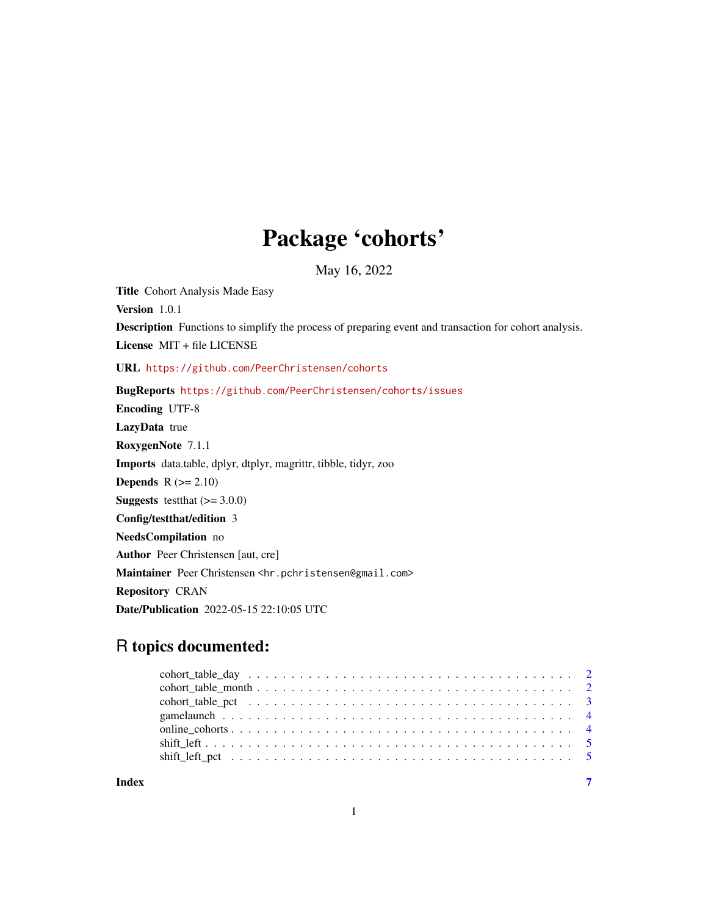## Package 'cohorts'

May 16, 2022

Title Cohort Analysis Made Easy Version 1.0.1 Description Functions to simplify the process of preparing event and transaction for cohort analysis. License MIT + file LICENSE URL <https://github.com/PeerChristensen/cohorts> BugReports <https://github.com/PeerChristensen/cohorts/issues> Encoding UTF-8 LazyData true RoxygenNote 7.1.1 Imports data.table, dplyr, dtplyr, magrittr, tibble, tidyr, zoo **Depends**  $R$  ( $>= 2.10$ ) **Suggests** testthat  $(>= 3.0.0)$ Config/testthat/edition 3 NeedsCompilation no Author Peer Christensen [aut, cre] Maintainer Peer Christensen <hr.pchristensen@gmail.com> Repository CRAN Date/Publication 2022-05-15 22:10:05 UTC

### R topics documented:

| Index | $\overline{7}$ |
|-------|----------------|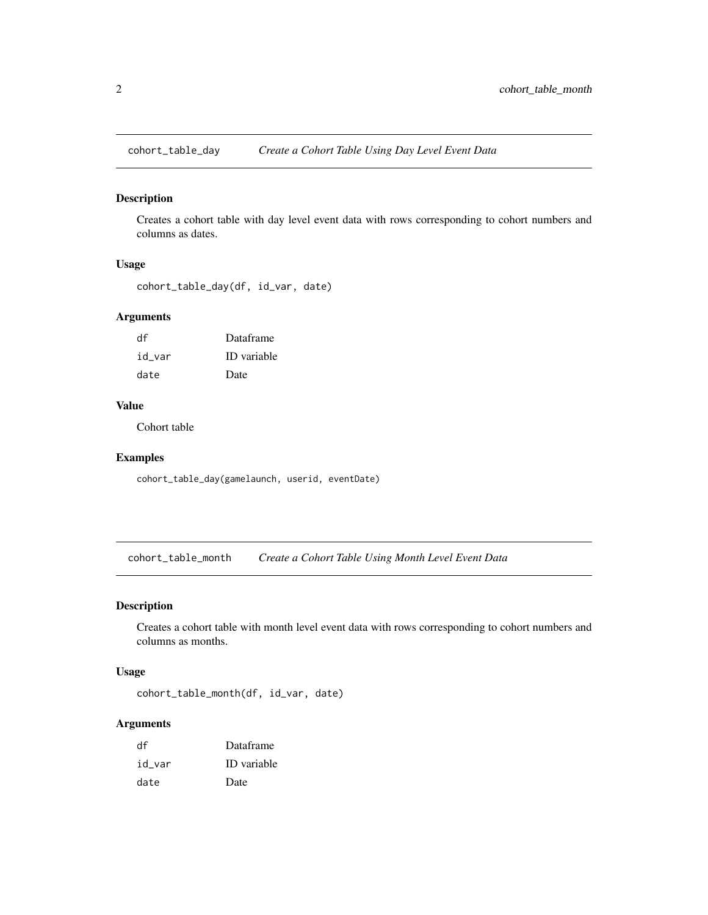<span id="page-1-0"></span>

#### Description

Creates a cohort table with day level event data with rows corresponding to cohort numbers and columns as dates.

#### Usage

```
cohort_table_day(df, id_var, date)
```
#### Arguments

| df     | Dataframe          |
|--------|--------------------|
| id var | <b>ID</b> variable |
| date   | Date               |

#### Value

Cohort table

#### Examples

cohort\_table\_day(gamelaunch, userid, eventDate)

cohort\_table\_month *Create a Cohort Table Using Month Level Event Data*

#### Description

Creates a cohort table with month level event data with rows corresponding to cohort numbers and columns as months.

#### Usage

```
cohort_table_month(df, id_var, date)
```
#### Arguments

| df     | Dataframe          |
|--------|--------------------|
| id var | <b>ID</b> variable |
| date   | Date               |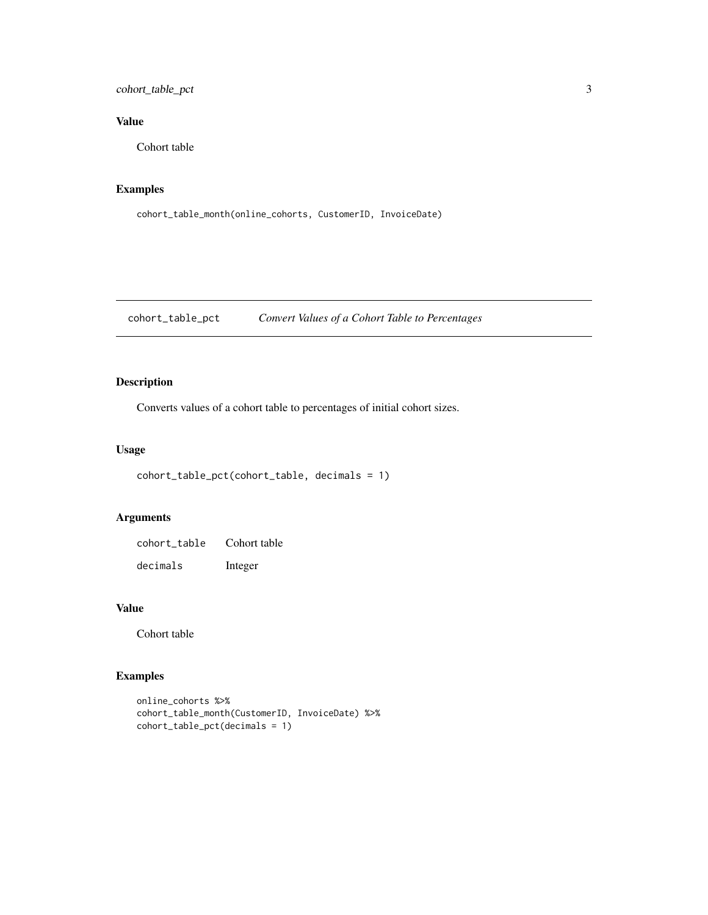#### <span id="page-2-0"></span>cohort\_table\_pct 3

#### Value

Cohort table

#### Examples

```
cohort_table_month(online_cohorts, CustomerID, InvoiceDate)
```
cohort\_table\_pct *Convert Values of a Cohort Table to Percentages*

#### Description

Converts values of a cohort table to percentages of initial cohort sizes.

#### Usage

```
cohort_table_pct(cohort_table, decimals = 1)
```
#### Arguments

| cohort table | Cohort table |
|--------------|--------------|
| decimals     | Integer      |

#### Value

Cohort table

#### Examples

```
online_cohorts %>%
cohort_table_month(CustomerID, InvoiceDate) %>%
cohort_table_pct(decimals = 1)
```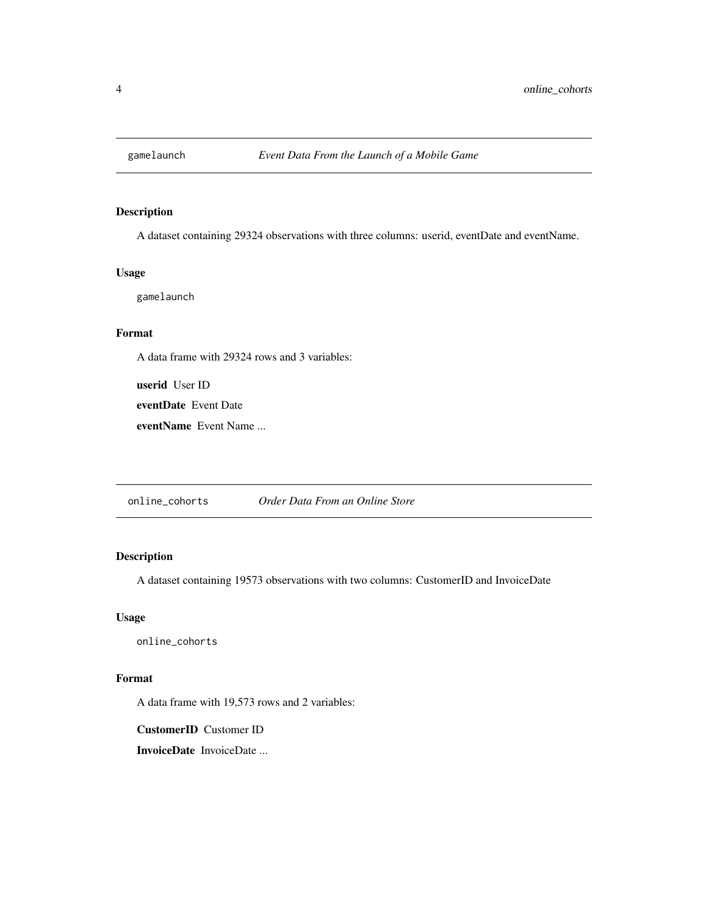<span id="page-3-0"></span>

#### Description

A dataset containing 29324 observations with three columns: userid, eventDate and eventName.

#### Usage

gamelaunch

#### Format

A data frame with 29324 rows and 3 variables:

userid User ID

eventDate Event Date

eventName Event Name ...

online\_cohorts *Order Data From an Online Store*

#### Description

A dataset containing 19573 observations with two columns: CustomerID and InvoiceDate

#### Usage

online\_cohorts

#### Format

A data frame with 19,573 rows and 2 variables:

CustomerID Customer ID

InvoiceDate InvoiceDate ...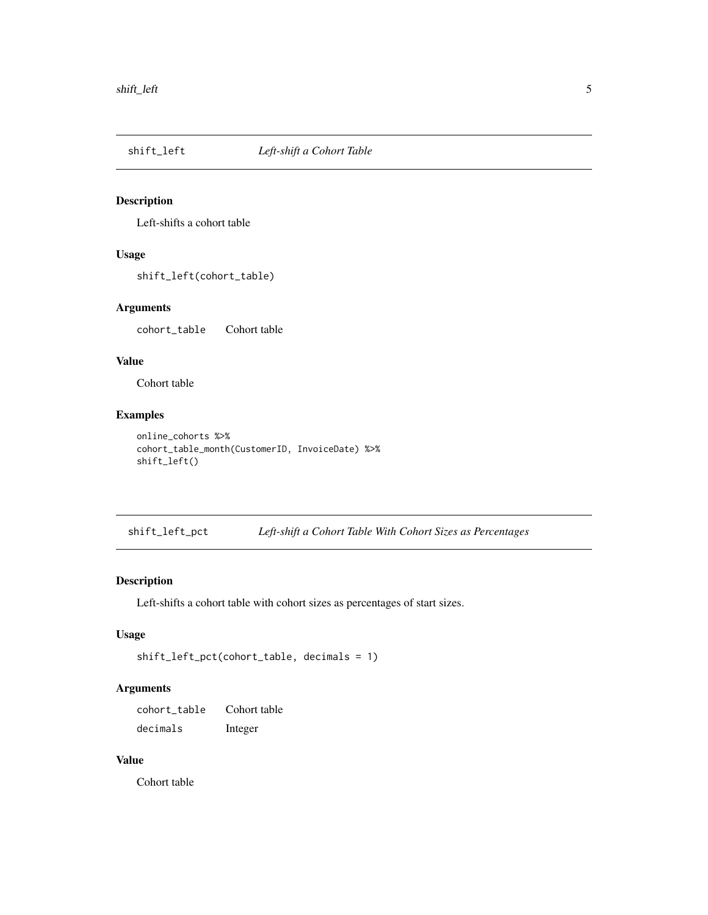<span id="page-4-0"></span>

#### Description

Left-shifts a cohort table

#### Usage

shift\_left(cohort\_table)

#### Arguments

cohort\_table Cohort table

#### Value

Cohort table

#### Examples

```
online_cohorts %>%
cohort_table_month(CustomerID, InvoiceDate) %>%
shift_left()
```
shift\_left\_pct *Left-shift a Cohort Table With Cohort Sizes as Percentages*

#### Description

Left-shifts a cohort table with cohort sizes as percentages of start sizes.

#### Usage

```
shift_left_pct(cohort_table, decimals = 1)
```
#### Arguments

cohort\_table Cohort table decimals Integer

#### Value

Cohort table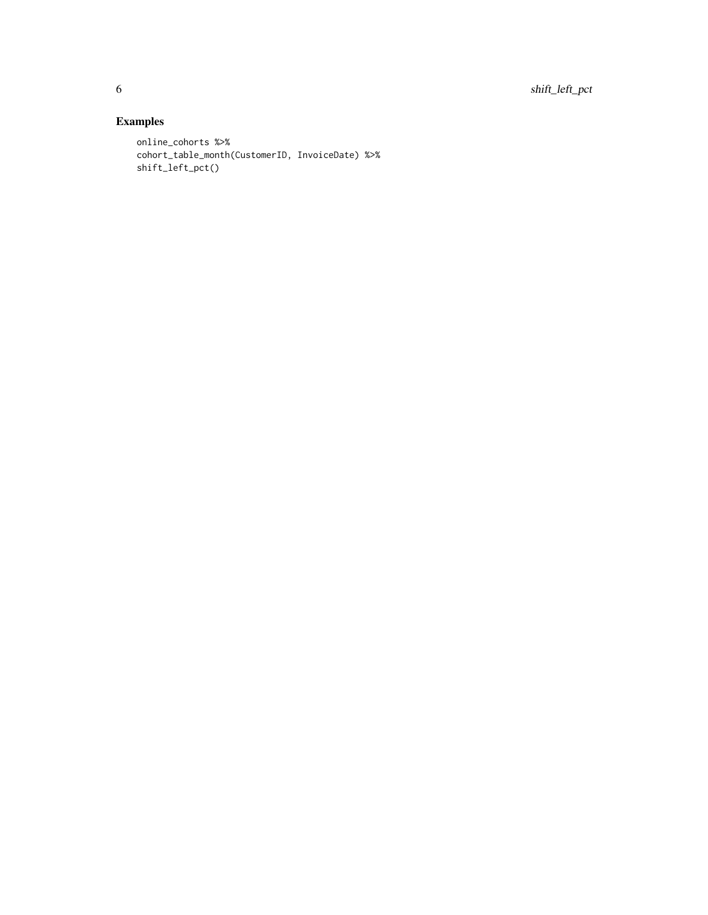6 shift\_left\_pct

#### Examples

```
online_cohorts %>%
cohort_table_month(CustomerID, InvoiceDate) %>%
shift_left_pct()
```